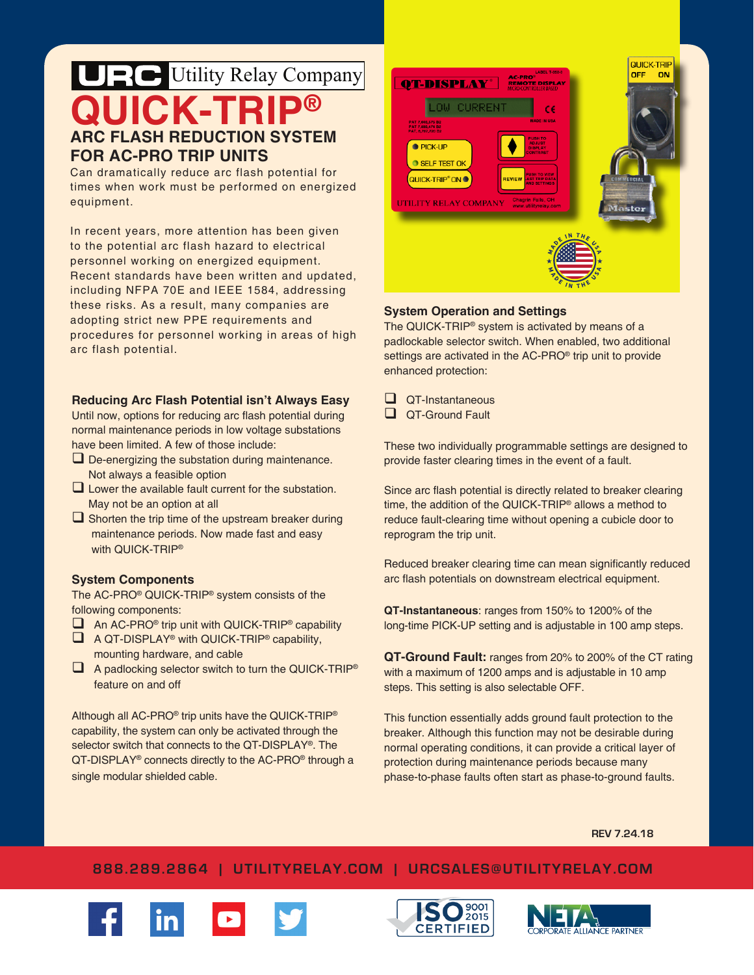# **QUICK-TRIP® ARC FLASH REDUCTION SYSTEM FOR AC-PRO TRIP UNITS** UE Utility Relay Company

Can dramatically reduce arc flash potential for times when work must be performed on energized equipment.

In recent years, more attention has been given to the potential arc flash hazard to electrical personnel working on energized equipment. Recent standards have been written and updated, including NFPA 70E and IEEE 1584, addressing these risks. As a result, many companies are adopting strict new PPE requirements and procedures for personnel working in areas of high arc flash potential.

# **Reducing Arc Flash Potential isn't Always Easy**

Until now, options for reducing arc flash potential during normal maintenance periods in low voltage substations have been limited. A few of those include:

- $\Box$  De-energizing the substation during maintenance. Not always a feasible option
- $\square$  Lower the available fault current for the substation. May not be an option at all
- $\Box$  Shorten the trip time of the upstream breaker during maintenance periods. Now made fast and easy with QUICK-TRIP®

# **System Components**

The AC-PRO® QUICK-TRIP® system consists of the following components:

- $\Box$  An AC-PRO<sup>®</sup> trip unit with QUICK-TRIP<sup>®</sup> capability
- $\Box$  A QT-DISPLAY<sup>®</sup> with QUICK-TRIP<sup>®</sup> capability, mounting hardware, and cable
- A padlocking selector switch to turn the QUICK-TRIP® feature on and off

Although all AC-PRO® trip units have the QUICK-TRIP® capability, the system can only be activated through the selector switch that connects to the QT-DISPLAY®. The QT-DISPLAY<sup>®</sup> connects directly to the AC-PRO<sup>®</sup> through a single modular shielded cable.



# **System Operation and Settings**

The QUICK-TRIP® system is activated by means of a padlockable selector switch. When enabled, two additional settings are activated in the AC-PRO® trip unit to provide enhanced protection:

- **QT-Instantaneous**
- **QT-Ground Fault**

These two individually programmable settings are designed to provide faster clearing times in the event of a fault.

Since arc flash potential is directly related to breaker clearing time, the addition of the QUICK-TRIP® allows a method to reduce fault-clearing time without opening a cubicle door to reprogram the trip unit.

Reduced breaker clearing time can mean significantly reduced arc flash potentials on downstream electrical equipment.

**QT-Instantaneous**: ranges from 150% to 1200% of the long-time PICK-UP setting and is adjustable in 100 amp steps.

**QT-Ground Fault:** ranges from 20% to 200% of the CT rating with a maximum of 1200 amps and is adjustable in 10 amp steps. This setting is also selectable OFF.

This function essentially adds ground fault protection to the breaker. Although this function may not be desirable during normal operating conditions, it can provide a critical layer of protection during maintenance periods because many phase-to-phase faults often start as phase-to-ground faults.

**REV 7.24.18**

# **888.289.2864 | UTILITYRELAY.COM | URCSALES@UTILITYRELAY.COM**